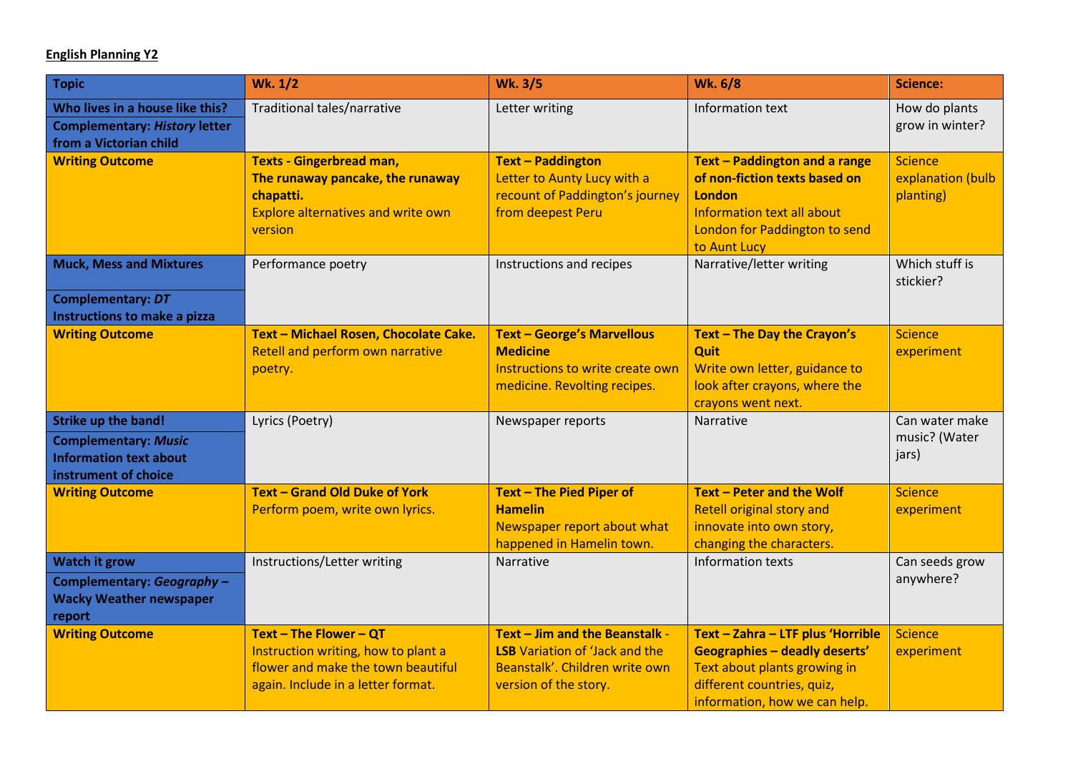## **English Planning Y2**

| <b>Topic</b>                                                                                                       | <b>Wk. 1/2</b>                                                                                                                            | <b>Wk. 3/5</b>                                                                                                                     | <b>Wk. 6/8</b>                                                                                                                                                           | <b>Science:</b>                                  |
|--------------------------------------------------------------------------------------------------------------------|-------------------------------------------------------------------------------------------------------------------------------------------|------------------------------------------------------------------------------------------------------------------------------------|--------------------------------------------------------------------------------------------------------------------------------------------------------------------------|--------------------------------------------------|
| Who lives in a house like this?<br><b>Complementary: History letter</b><br>from a Victorian child                  | Traditional tales/narrative                                                                                                               | Letter writing                                                                                                                     | Information text                                                                                                                                                         | How do plants<br>grow in winter?                 |
| <b>Writing Outcome</b>                                                                                             | <b>Texts - Gingerbread man,</b><br>The runaway pancake, the runaway<br>chapatti.<br><b>Explore alternatives and write own</b><br>version  | <b>Text - Paddington</b><br>Letter to Aunty Lucy with a<br>recount of Paddington's journey<br>from deepest Peru                    | Text - Paddington and a range<br>of non-fiction texts based on<br>London<br>Information text all about<br>London for Paddington to send<br>to Aunt Lucy                  | <b>Science</b><br>explanation (bulb<br>planting) |
| <b>Muck, Mess and Mixtures</b><br><b>Complementary: DT</b><br>Instructions to make a pizza                         | Performance poetry                                                                                                                        | Instructions and recipes                                                                                                           | Narrative/letter writing                                                                                                                                                 | Which stuff is<br>stickier?                      |
| <b>Writing Outcome</b>                                                                                             | Text - Michael Rosen, Chocolate Cake.<br>Retell and perform own narrative<br>poetry.                                                      | <b>Text - George's Marvellous</b><br><b>Medicine</b><br>Instructions to write create own<br>medicine. Revolting recipes.           | Text - The Day the Crayon's<br>Quit<br>Write own letter, guidance to<br>look after crayons, where the<br>crayons went next.                                              | <b>Science</b><br>experiment                     |
| <b>Strike up the band!</b><br><b>Complementary: Music</b><br><b>Information text about</b><br>instrument of choice | Lyrics (Poetry)                                                                                                                           | Newspaper reports                                                                                                                  | <b>Narrative</b>                                                                                                                                                         | Can water make<br>music? (Water<br>jars)         |
| <b>Writing Outcome</b>                                                                                             | <b>Text - Grand Old Duke of York</b><br>Perform poem, write own lyrics.                                                                   | Text - The Pied Piper of<br><b>Hamelin</b><br>Newspaper report about what<br>happened in Hamelin town.                             | Text - Peter and the Wolf<br><b>Retell original story and</b><br>innovate into own story,<br>changing the characters.                                                    | <b>Science</b><br>experiment                     |
| <b>Watch it grow</b><br>Complementary: Geography -<br><b>Wacky Weather newspaper</b><br>report                     | Instructions/Letter writing                                                                                                               | Narrative                                                                                                                          | Information texts                                                                                                                                                        | Can seeds grow<br>anywhere?                      |
| <b>Writing Outcome</b>                                                                                             | Text - The Flower - QT<br>Instruction writing, how to plant a<br>flower and make the town beautiful<br>again. Include in a letter format. | Text - Jim and the Beanstalk -<br><b>LSB</b> Variation of 'Jack and the<br>Beanstalk'. Children write own<br>version of the story. | Text - Zahra - LTF plus 'Horrible<br><b>Geographies - deadly deserts'</b><br>Text about plants growing in<br>different countries, quiz,<br>information, how we can help. | <b>Science</b><br>experiment                     |